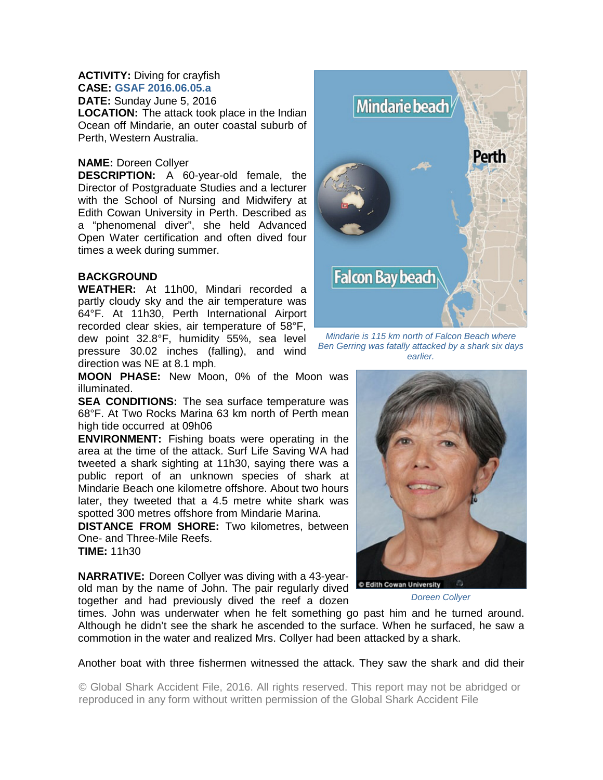## **ACTIVITY:** Diving for crayfish **CASE: GSAF 2016.06.05.a**

**DATE:** Sunday June 5, 2016 **LOCATION:** The attack took place in the Indian Ocean off Mindarie, an outer coastal suburb of Perth, Western Australia.

## **NAME:** Doreen Collyer

**DESCRIPTION:** A 60-year-old female, the Director of Postgraduate Studies and a lecturer with the School of Nursing and Midwifery at Edith Cowan University in Perth. Described as a "phenomenal diver", she held Advanced Open Water certification and often dived four times a week during summer.

## **BACKGROUND**

**WEATHER:** At 11h00, Mindari recorded a partly cloudy sky and the air temperature was 64°F. At 11h30, Perth International Airport recorded clear skies, air temperature of 58°F, dew point 32.8°F, humidity 55%, sea level pressure 30.02 inches (falling), and wind direction was NE at 8.1 mph.

**MOON PHASE:** New Moon, 0% of the Moon was illuminated.

**SEA CONDITIONS:** The sea surface temperature was 68°F. At Two Rocks Marina 63 km north of Perth mean high tide occurred at 09h06

**ENVIRONMENT:** Fishing boats were operating in the area at the time of the attack. Surf Life Saving WA had tweeted a shark sighting at 11h30, saying there was a public report of an unknown species of shark at Mindarie Beach one kilometre offshore. About two hours later, they tweeted that a 4.5 metre white shark was spotted 300 metres offshore from Mindarie Marina.

**DISTANCE FROM SHORE:** Two kilometres, between One- and Three-Mile Reefs. **TIME:** 11h30

**NARRATIVE:** Doreen Collyer was diving with a 43-yearold man by the name of John. The pair regularly dived together and had previously dived the reef a dozen



*Mindarie is 115 km north of Falcon Beach where Ben Gerring was fatally attacked by a shark six days earlier.* 



*Doreen Collyer* 

times. John was underwater when he felt something go past him and he turned around. Although he didn't see the shark he ascended to the surface. When he surfaced, he saw a commotion in the water and realized Mrs. Collyer had been attacked by a shark.

Another boat with three fishermen witnessed the attack. They saw the shark and did their

© Global Shark Accident File, 2016. All rights reserved. This report may not be abridged or reproduced in any form without written permission of the Global Shark Accident File